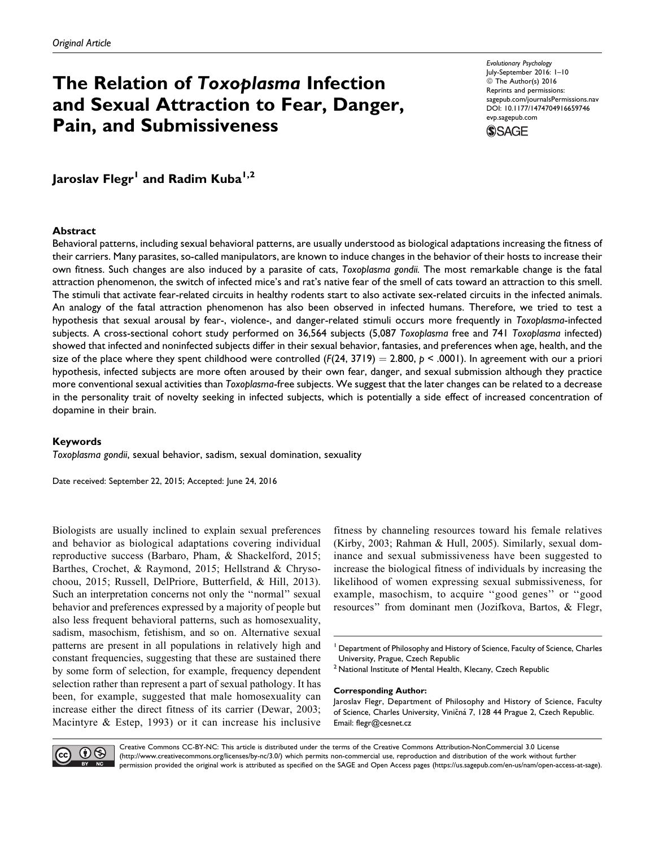# The Relation of Toxoplasma Infection and Sexual Attraction to Fear, Danger, Pain, and Submissiveness

Evolutionary Psychology July-September 2016: 1–10  $\circ$  The Author(s) 2016 Reprints and permissions: [sagepub.com/journalsPermissions.nav](http://www.sagepub.com/journalsPermissions.nav) DOI: 10.1177/1474704916659746 [evp.sagepub.com](http://evp.sagepub.com)



Jaroslav Flegr<sup>1</sup> and Radim Kuba<sup>1,2</sup>

#### Abstract

Behavioral patterns, including sexual behavioral patterns, are usually understood as biological adaptations increasing the fitness of their carriers. Many parasites, so-called manipulators, are known to induce changes in the behavior of their hosts to increase their own fitness. Such changes are also induced by a parasite of cats, Toxoplasma gondii. The most remarkable change is the fatal attraction phenomenon, the switch of infected mice's and rat's native fear of the smell of cats toward an attraction to this smell. The stimuli that activate fear-related circuits in healthy rodents start to also activate sex-related circuits in the infected animals. An analogy of the fatal attraction phenomenon has also been observed in infected humans. Therefore, we tried to test a hypothesis that sexual arousal by fear-, violence-, and danger-related stimuli occurs more frequently in Toxoplasma-infected subjects. A cross-sectional cohort study performed on 36,564 subjects (5,087 Toxoplasma free and 741 Toxoplasma infected) showed that infected and noninfected subjects differ in their sexual behavior, fantasies, and preferences when age, health, and the size of the place where they spent childhood were controlled  $(F(24, 3719) = 2.800, p < .0001)$ . In agreement with our a priori hypothesis, infected subjects are more often aroused by their own fear, danger, and sexual submission although they practice more conventional sexual activities than Toxoplasma-free subjects. We suggest that the later changes can be related to a decrease in the personality trait of novelty seeking in infected subjects, which is potentially a side effect of increased concentration of dopamine in their brain.

## Keywords

Toxoplasma gondii, sexual behavior, sadism, sexual domination, sexuality

Date received: September 22, 2015; Accepted: June 24, 2016

Biologists are usually inclined to explain sexual preferences and behavior as biological adaptations covering individual reproductive success (Barbaro, Pham, & Shackelford, 2015; Barthes, Crochet, & Raymond, 2015; Hellstrand & Chrysochoou, 2015; Russell, DelPriore, Butterfield, & Hill, 2013). Such an interpretation concerns not only the ''normal'' sexual behavior and preferences expressed by a majority of people but also less frequent behavioral patterns, such as homosexuality, sadism, masochism, fetishism, and so on. Alternative sexual patterns are present in all populations in relatively high and constant frequencies, suggesting that these are sustained there by some form of selection, for example, frequency dependent selection rather than represent a part of sexual pathology. It has been, for example, suggested that male homosexuality can increase either the direct fitness of its carrier (Dewar, 2003; Macintyre & Estep, 1993) or it can increase his inclusive

fitness by channeling resources toward his female relatives (Kirby, 2003; Rahman & Hull, 2005). Similarly, sexual dominance and sexual submissiveness have been suggested to increase the biological fitness of individuals by increasing the likelihood of women expressing sexual submissiveness, for example, masochism, to acquire ''good genes'' or ''good resources'' from dominant men (Jozifkova, Bartos, & Flegr,

<sup>2</sup> National Institute of Mental Health, Klecany, Czech Republic

#### Corresponding Author:

Jaroslav Flegr, Department of Philosophy and History of Science, Faculty of Science, Charles University, Viničná 7, 128 44 Prague 2, Czech Republic. Email: [flegr@cesnet.cz](mailto:flegr@cesnet.cz)



Creative Commons CC-BY-NC: This article is distributed under the terms of the Creative Commons Attribution-NonCommercial 3.0 License (http://www.creativecommons.org/licenses/by-nc/3.0/) which permits non-commercial use, reproduction and distribution of the work without further permission provided the original work is attributed as specified on the SAGE and Open Access pages (https://us.sagepub.com/en-us/nam/open-access-at-sage).

<sup>&</sup>lt;sup>1</sup> Department of Philosophy and History of Science, Faculty of Science, Charles University, Prague, Czech Republic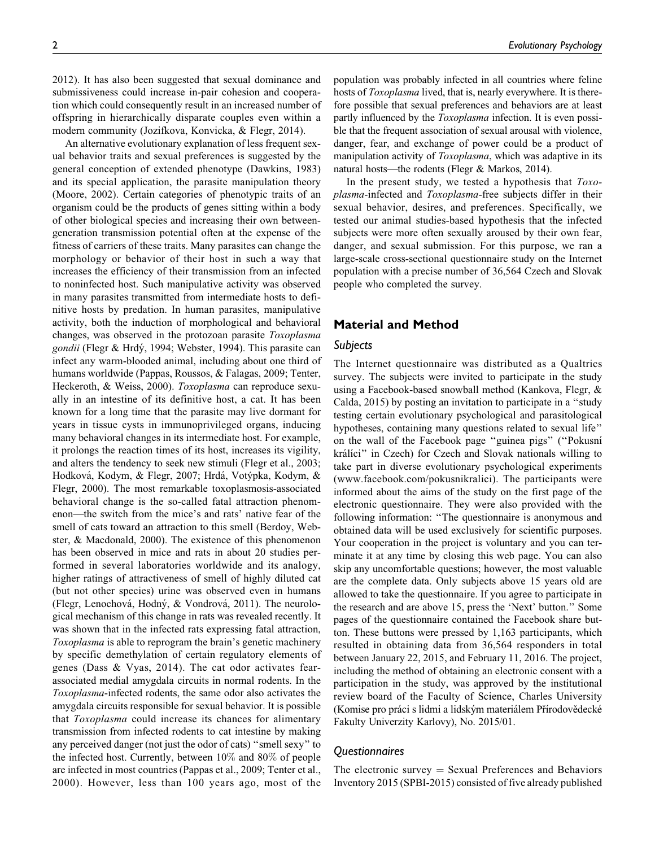2012). It has also been suggested that sexual dominance and submissiveness could increase in-pair cohesion and cooperation which could consequently result in an increased number of offspring in hierarchically disparate couples even within a modern community (Jozifkova, Konvicka, & Flegr, 2014).

An alternative evolutionary explanation of less frequent sexual behavior traits and sexual preferences is suggested by the general conception of extended phenotype (Dawkins, 1983) and its special application, the parasite manipulation theory (Moore, 2002). Certain categories of phenotypic traits of an organism could be the products of genes sitting within a body of other biological species and increasing their own betweengeneration transmission potential often at the expense of the fitness of carriers of these traits. Many parasites can change the morphology or behavior of their host in such a way that increases the efficiency of their transmission from an infected to noninfected host. Such manipulative activity was observed in many parasites transmitted from intermediate hosts to definitive hosts by predation. In human parasites, manipulative activity, both the induction of morphological and behavioral changes, was observed in the protozoan parasite Toxoplasma gondii (Flegr & Hrdý, 1994; Webster, 1994). This parasite can infect any warm-blooded animal, including about one third of humans worldwide (Pappas, Roussos, & Falagas, 2009; Tenter, Heckeroth, & Weiss, 2000). Toxoplasma can reproduce sexually in an intestine of its definitive host, a cat. It has been known for a long time that the parasite may live dormant for years in tissue cysts in immunoprivileged organs, inducing many behavioral changes in its intermediate host. For example, it prolongs the reaction times of its host, increases its vigility, and alters the tendency to seek new stimuli (Flegr et al., 2003; Hodková, Kodym, & Flegr, 2007; Hrdá, Votýpka, Kodym, & Flegr, 2000). The most remarkable toxoplasmosis-associated behavioral change is the so-called fatal attraction phenomenon—the switch from the mice's and rats' native fear of the smell of cats toward an attraction to this smell (Berdoy, Webster, & Macdonald, 2000). The existence of this phenomenon has been observed in mice and rats in about 20 studies performed in several laboratories worldwide and its analogy, higher ratings of attractiveness of smell of highly diluted cat (but not other species) urine was observed even in humans (Flegr, Lenochová, Hodný, & Vondrová, 2011). The neurological mechanism of this change in rats was revealed recently. It was shown that in the infected rats expressing fatal attraction, Toxoplasma is able to reprogram the brain's genetic machinery by specific demethylation of certain regulatory elements of genes (Dass & Vyas, 2014). The cat odor activates fearassociated medial amygdala circuits in normal rodents. In the Toxoplasma-infected rodents, the same odor also activates the amygdala circuits responsible for sexual behavior. It is possible that Toxoplasma could increase its chances for alimentary transmission from infected rodents to cat intestine by making any perceived danger (not just the odor of cats) ''smell sexy'' to the infected host. Currently, between 10% and 80% of people are infected in most countries (Pappas et al., 2009; Tenter et al., 2000). However, less than 100 years ago, most of the

2 Evolutionary Psychology

population was probably infected in all countries where feline hosts of Toxoplasma lived, that is, nearly everywhere. It is therefore possible that sexual preferences and behaviors are at least partly influenced by the *Toxoplasma* infection. It is even possible that the frequent association of sexual arousal with violence, danger, fear, and exchange of power could be a product of manipulation activity of *Toxoplasma*, which was adaptive in its natural hosts—the rodents (Flegr & Markos, 2014).

In the present study, we tested a hypothesis that Toxoplasma-infected and Toxoplasma-free subjects differ in their sexual behavior, desires, and preferences. Specifically, we tested our animal studies-based hypothesis that the infected subjects were more often sexually aroused by their own fear, danger, and sexual submission. For this purpose, we ran a large-scale cross-sectional questionnaire study on the Internet population with a precise number of 36,564 Czech and Slovak people who completed the survey.

## Material and Method

## Subjects

The Internet questionnaire was distributed as a Qualtrics survey. The subjects were invited to participate in the study using a Facebook-based snowball method (Kankova, Flegr, & Calda, 2015) by posting an invitation to participate in a ''study testing certain evolutionary psychological and parasitological hypotheses, containing many questions related to sexual life'' on the wall of the Facebook page ''guinea pigs'' (''Pokusnı´ králíci" in Czech) for Czech and Slovak nationals willing to take part in diverse evolutionary psychological experiments [\(www.facebook.com/pokusnikralici](http://www.facebook.com/pokusnikralici)). The participants were informed about the aims of the study on the first page of the electronic questionnaire. They were also provided with the following information: ''The questionnaire is anonymous and obtained data will be used exclusively for scientific purposes. Your cooperation in the project is voluntary and you can terminate it at any time by closing this web page. You can also skip any uncomfortable questions; however, the most valuable are the complete data. Only subjects above 15 years old are allowed to take the questionnaire. If you agree to participate in the research and are above 15, press the 'Next' button.'' Some pages of the questionnaire contained the Facebook share button. These buttons were pressed by 1,163 participants, which resulted in obtaining data from 36,564 responders in total between January 22, 2015, and February 11, 2016. The project, including the method of obtaining an electronic consent with a participation in the study, was approved by the institutional review board of the Faculty of Science, Charles University (Komise pro práci s lidmi a lidským materiálem Přírodovědecké Fakulty Univerzity Karlovy), No. 2015/01.

## Questionnaires

The electronic survey  $=$  Sexual Preferences and Behaviors Inventory 2015 (SPBI-2015) consisted of five already published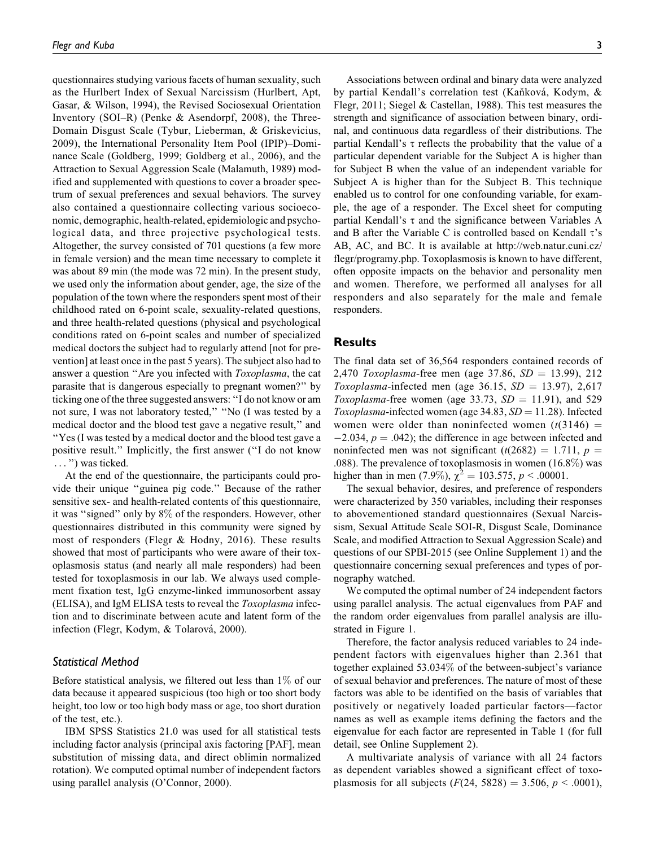questionnaires studying various facets of human sexuality, such as the Hurlbert Index of Sexual Narcissism (Hurlbert, Apt, Gasar, & Wilson, 1994), the Revised Sociosexual Orientation Inventory (SOI–R) (Penke & Asendorpf, 2008), the Three-Domain Disgust Scale (Tybur, Lieberman, & Griskevicius, 2009), the International Personality Item Pool (IPIP)–Dominance Scale (Goldberg, 1999; Goldberg et al., 2006), and the Attraction to Sexual Aggression Scale (Malamuth, 1989) modified and supplemented with questions to cover a broader spectrum of sexual preferences and sexual behaviors. The survey also contained a questionnaire collecting various socioeconomic, demographic, health-related, epidemiologic and psychological data, and three projective psychological tests. Altogether, the survey consisted of 701 questions (a few more in female version) and the mean time necessary to complete it was about 89 min (the mode was 72 min). In the present study, we used only the information about gender, age, the size of the population of the town where the responders spent most of their childhood rated on 6-point scale, sexuality-related questions, and three health-related questions (physical and psychological conditions rated on 6-point scales and number of specialized medical doctors the subject had to regularly attend [not for prevention] at least once in the past 5 years). The subject also had to answer a question "Are you infected with *Toxoplasma*, the cat parasite that is dangerous especially to pregnant women?'' by ticking one of the three suggested answers: ''I do not know or am not sure, I was not laboratory tested,'' ''No (I was tested by a medical doctor and the blood test gave a negative result,'' and ''Yes (I was tested by a medical doctor and the blood test gave a positive result.'' Implicitly, the first answer (''I do not know ... '') was ticked.

At the end of the questionnaire, the participants could provide their unique ''guinea pig code.'' Because of the rather sensitive sex- and health-related contents of this questionnaire, it was ''signed'' only by 8% of the responders. However, other questionnaires distributed in this community were signed by most of responders (Flegr & Hodny, 2016). These results showed that most of participants who were aware of their toxoplasmosis status (and nearly all male responders) had been tested for toxoplasmosis in our lab. We always used complement fixation test, IgG enzyme-linked immunosorbent assay (ELISA), and IgM ELISA tests to reveal the Toxoplasma infection and to discriminate between acute and latent form of the infection (Flegr, Kodym, & Tolarová, 2000).

#### Statistical Method

Before statistical analysis, we filtered out less than 1% of our data because it appeared suspicious (too high or too short body height, too low or too high body mass or age, too short duration of the test, etc.).

IBM SPSS Statistics 21.0 was used for all statistical tests including factor analysis (principal axis factoring [PAF], mean substitution of missing data, and direct oblimin normalized rotation). We computed optimal number of independent factors using parallel analysis (O'Connor, 2000).

Associations between ordinal and binary data were analyzed by partial Kendall's correlation test (Kaňková, Kodym, & Flegr, 2011; Siegel & Castellan, 1988). This test measures the strength and significance of association between binary, ordinal, and continuous data regardless of their distributions. The partial Kendall's  $\tau$  reflects the probability that the value of a particular dependent variable for the Subject A is higher than for Subject B when the value of an independent variable for Subject A is higher than for the Subject B. This technique enabled us to control for one confounding variable, for example, the age of a responder. The Excel sheet for computing partial Kendall's  $\tau$  and the significance between Variables A and B after the Variable C is controlled based on Kendall  $\tau$ 's AB, AC, and BC. It is available at [http://web.natur.cuni.cz/](http://web.natur.cuni.cz/flegr/programy.php) [flegr/programy.php.](http://web.natur.cuni.cz/flegr/programy.php) Toxoplasmosis is known to have different, often opposite impacts on the behavior and personality men and women. Therefore, we performed all analyses for all responders and also separately for the male and female responders.

## Results

The final data set of 36,564 responders contained records of 2,470 Toxoplasma-free men (age 37.86,  $SD = 13.99$ ), 212 Toxoplasma-infected men (age 36.15,  $SD = 13.97$ ), 2,617 Toxoplasma-free women (age 33.73,  $SD = 11.91$ ), and 529 Toxoplasma-infected women (age 34.83,  $SD = 11.28$ ). Infected women were older than noninfected women  $(t(3146) =$  $-2.034, p = .042$ ; the difference in age between infected and noninfected men was not significant  $(t(2682) = 1.711, p =$ .088). The prevalence of toxoplasmosis in women (16.8%) was higher than in men (7.9%),  $\chi^2 = 103.575$ ,  $p < .00001$ .

The sexual behavior, desires, and preference of responders were characterized by 350 variables, including their responses to abovementioned standard questionnaires (Sexual Narcissism, Sexual Attitude Scale SOI-R, Disgust Scale, Dominance Scale, and modified Attraction to Sexual Aggression Scale) and questions of our SPBI-2015 (see Online Supplement 1) and the questionnaire concerning sexual preferences and types of pornography watched.

We computed the optimal number of 24 independent factors using parallel analysis. The actual eigenvalues from PAF and the random order eigenvalues from parallel analysis are illustrated in Figure 1.

Therefore, the factor analysis reduced variables to 24 independent factors with eigenvalues higher than 2.361 that together explained 53.034% of the between-subject's variance of sexual behavior and preferences. The nature of most of these factors was able to be identified on the basis of variables that positively or negatively loaded particular factors—factor names as well as example items defining the factors and the eigenvalue for each factor are represented in Table 1 (for full detail, see Online Supplement 2).

A multivariate analysis of variance with all 24 factors as dependent variables showed a significant effect of toxoplasmosis for all subjects  $(F(24, 5828) = 3.506, p < .0001)$ ,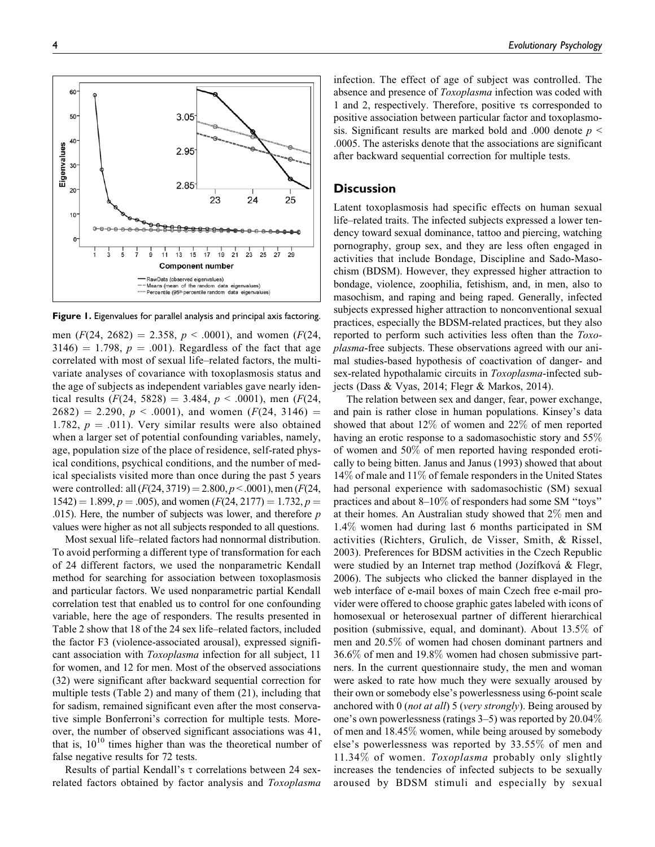Figure 1. Eigenvalues for parallel analysis and principal axis factoring.

men  $(F(24, 2682) = 2.358, p < .0001)$ , and women  $(F(24, 2682))$  $3146$ ) = 1.798,  $p = .001$ ). Regardless of the fact that age correlated with most of sexual life–related factors, the multivariate analyses of covariance with toxoplasmosis status and the age of subjects as independent variables gave nearly identical results  $(F(24, 5828) = 3.484, p < .0001)$ , men  $(F(24, 5828) = 3.484, p < .0001)$  $2682) = 2.290, p < .0001$ , and women  $(F(24, 3146)) =$ 1.782,  $p = .011$ ). Very similar results were also obtained when a larger set of potential confounding variables, namely, age, population size of the place of residence, self-rated physical conditions, psychical conditions, and the number of medical specialists visited more than once during the past 5 years were controlled: all  $(F(24, 3719) = 2.800, p < .0001)$ , men  $(F(24, 3719) = 2.800, p < .0001)$  $1542$ ) = 1.899, p = .005), and women (F(24, 2177) = 1.732, p = .015). Here, the number of subjects was lower, and therefore  $p$ values were higher as not all subjects responded to all questions.

Most sexual life–related factors had nonnormal distribution. To avoid performing a different type of transformation for each of 24 different factors, we used the nonparametric Kendall method for searching for association between toxoplasmosis and particular factors. We used nonparametric partial Kendall correlation test that enabled us to control for one confounding variable, here the age of responders. The results presented in Table 2 show that 18 of the 24 sex life–related factors, included the factor F3 (violence-associated arousal), expressed significant association with Toxoplasma infection for all subject, 11 for women, and 12 for men. Most of the observed associations (32) were significant after backward sequential correction for multiple tests (Table 2) and many of them (21), including that for sadism, remained significant even after the most conservative simple Bonferroni's correction for multiple tests. Moreover, the number of observed significant associations was 41, that is,  $10^{10}$  times higher than was the theoretical number of false negative results for 72 tests.

Results of partial Kendall's  $\tau$  correlations between 24 sexrelated factors obtained by factor analysis and Toxoplasma infection. The effect of age of subject was controlled. The absence and presence of *Toxoplasma* infection was coded with 1 and 2, respectively. Therefore, positive ts corresponded to positive association between particular factor and toxoplasmosis. Significant results are marked bold and .000 denote  $p \leq$ .0005. The asterisks denote that the associations are significant after backward sequential correction for multiple tests.

## **Discussion**

Latent toxoplasmosis had specific effects on human sexual life–related traits. The infected subjects expressed a lower tendency toward sexual dominance, tattoo and piercing, watching pornography, group sex, and they are less often engaged in activities that include Bondage, Discipline and Sado-Masochism (BDSM). However, they expressed higher attraction to bondage, violence, zoophilia, fetishism, and, in men, also to masochism, and raping and being raped. Generally, infected subjects expressed higher attraction to nonconventional sexual practices, especially the BDSM-related practices, but they also reported to perform such activities less often than the Toxoplasma-free subjects. These observations agreed with our animal studies-based hypothesis of coactivation of danger- and sex-related hypothalamic circuits in Toxoplasma-infected subjects (Dass & Vyas, 2014; Flegr & Markos, 2014).

The relation between sex and danger, fear, power exchange, and pain is rather close in human populations. Kinsey's data showed that about 12% of women and 22% of men reported having an erotic response to a sadomasochistic story and 55% of women and 50% of men reported having responded erotically to being bitten. Janus and Janus (1993) showed that about 14% of male and 11% of female responders in the United States had personal experience with sadomasochistic (SM) sexual practices and about 8–10% of responders had some SM ''toys'' at their homes. An Australian study showed that 2% men and 1.4% women had during last 6 months participated in SM activities (Richters, Grulich, de Visser, Smith, & Rissel, 2003). Preferences for BDSM activities in the Czech Republic were studied by an Internet trap method (Jozífková & Flegr, 2006). The subjects who clicked the banner displayed in the web interface of e-mail boxes of main Czech free e-mail provider were offered to choose graphic gates labeled with icons of homosexual or heterosexual partner of different hierarchical position (submissive, equal, and dominant). About 13.5% of men and 20.5% of women had chosen dominant partners and 36.6% of men and 19.8% women had chosen submissive partners. In the current questionnaire study, the men and woman were asked to rate how much they were sexually aroused by their own or somebody else's powerlessness using 6-point scale anchored with  $0$  (not at all) 5 (very strongly). Being aroused by one's own powerlessness (ratings 3–5) was reported by 20.04% of men and 18.45% women, while being aroused by somebody else's powerlessness was reported by 33.55% of men and 11.34% of women. Toxoplasma probably only slightly increases the tendencies of infected subjects to be sexually aroused by BDSM stimuli and especially by sexual

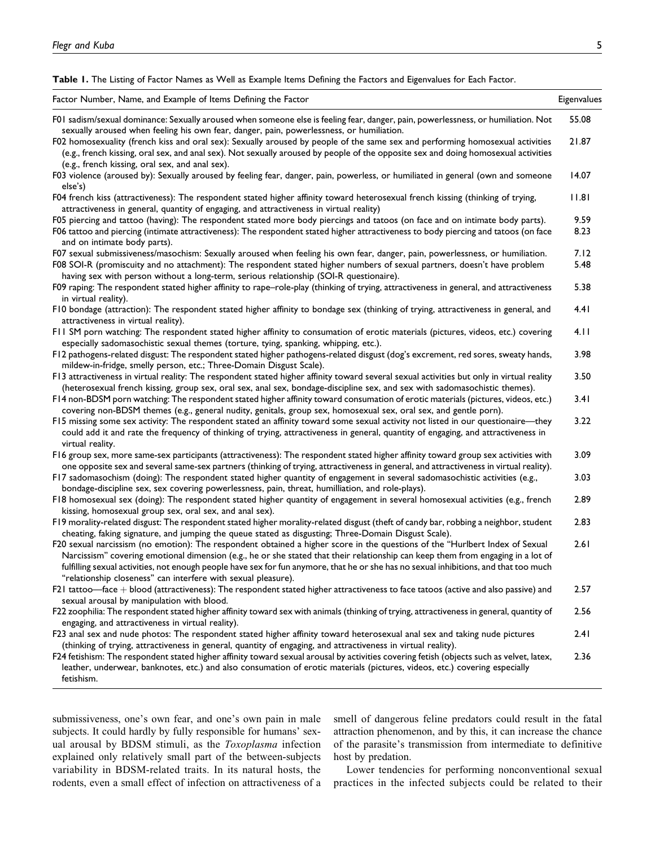Table 1. The Listing of Factor Names as Well as Example Items Defining the Factors and Eigenvalues for Each Factor.

| Factor Number, Name, and Example of Items Defining the Factor                                                                                                                                                                                                                                                                                                                                                                                                              | Eigenvalues  |
|----------------------------------------------------------------------------------------------------------------------------------------------------------------------------------------------------------------------------------------------------------------------------------------------------------------------------------------------------------------------------------------------------------------------------------------------------------------------------|--------------|
| F01 sadism/sexual dominance: Sexually aroused when someone else is feeling fear, danger, pain, powerlessness, or humiliation. Not<br>sexually aroused when feeling his own fear, danger, pain, powerlessness, or humiliation.                                                                                                                                                                                                                                              | 55.08        |
| F02 homosexuality (french kiss and oral sex): Sexually aroused by people of the same sex and performing homosexual activities<br>(e.g., french kissing, oral sex, and anal sex). Not sexually aroused by people of the opposite sex and doing homosexual activities<br>(e.g., french kissing, oral sex, and anal sex).                                                                                                                                                     | 21.87        |
| F03 violence (aroused by): Sexually aroused by feeling fear, danger, pain, powerless, or humiliated in general (own and someone<br>else's)                                                                                                                                                                                                                                                                                                                                 | 14.07        |
| F04 french kiss (attractiveness): The respondent stated higher affinity toward heterosexual french kissing (thinking of trying,<br>attractiveness in general, quantity of engaging, and attractiveness in virtual reality)                                                                                                                                                                                                                                                 | 11.81        |
| F05 piercing and tattoo (having): The respondent stated more body piercings and tatoos (on face and on intimate body parts).<br>F06 tattoo and piercing (intimate attractiveness): The respondent stated higher attractiveness to body piercing and tatoos (on face<br>and on intimate body parts).                                                                                                                                                                        | 9.59<br>8.23 |
| F07 sexual submissiveness/masochism: Sexually aroused when feeling his own fear, danger, pain, powerlessness, or humiliation.<br>F08 SOI-R (promiscuity and no attachment): The respondent stated higher numbers of sexual partners, doesn't have problem<br>having sex with person without a long-term, serious relationship (SOI-R questionaire).                                                                                                                        | 7.12<br>5.48 |
| F09 raping: The respondent stated higher affinity to rape-role-play (thinking of trying, attractiveness in general, and attractiveness<br>in virtual reality).                                                                                                                                                                                                                                                                                                             | 5.38         |
| F10 bondage (attraction): The respondent stated higher affinity to bondage sex (thinking of trying, attractiveness in general, and<br>attractiveness in virtual reality).                                                                                                                                                                                                                                                                                                  | 4.41         |
| FII SM porn watching: The respondent stated higher affinity to consumation of erotic materials (pictures, videos, etc.) covering<br>especially sadomasochistic sexual themes (torture, tying, spanking, whipping, etc.).                                                                                                                                                                                                                                                   | 4.11         |
| F12 pathogens-related disgust: The respondent stated higher pathogens-related disgust (dog's excrement, red sores, sweaty hands,<br>mildew-in-fridge, smelly person, etc.; Three-Domain Disgust Scale).                                                                                                                                                                                                                                                                    | 3.98         |
| F13 attractiveness in virtual reality: The respondent stated higher affinity toward several sexual activities but only in virtual reality<br>(heterosexual french kissing, group sex, oral sex, anal sex, bondage-discipline sex, and sex with sadomasochistic themes).                                                                                                                                                                                                    | 3.50         |
| F14 non-BDSM porn watching: The respondent stated higher affinity toward consumation of erotic materials (pictures, videos, etc.)<br>covering non-BDSM themes (e.g., general nudity, genitals, group sex, homosexual sex, oral sex, and gentle porn).                                                                                                                                                                                                                      | 3.41<br>3.22 |
| F15 missing some sex activity: The respondent stated an affinity toward some sexual activity not listed in our questionaire—they<br>could add it and rate the frequency of thinking of trying, attractiveness in general, quantity of engaging, and attractiveness in<br>virtual reality.                                                                                                                                                                                  |              |
| F16 group sex, more same-sex participants (attractiveness): The respondent stated higher affinity toward group sex activities with<br>one opposite sex and several same-sex partners (thinking of trying, attractiveness in general, and attractiveness in virtual reality).                                                                                                                                                                                               | 3.09         |
| F17 sadomasochism (doing): The respondent stated higher quantity of engagement in several sadomasochistic activities (e.g.,<br>bondage-discipline sex, sex covering powerlessness, pain, threat, humilliation, and role-plays).                                                                                                                                                                                                                                            | 3.03         |
| F18 homosexual sex (doing): The respondent stated higher quantity of engagement in several homosexual activities (e.g., french<br>kissing, homosexual group sex, oral sex, and anal sex).                                                                                                                                                                                                                                                                                  | 2.89         |
| F19 morality-related disgust: The respondent stated higher morality-related disgust (theft of candy bar, robbing a neighbor, student<br>cheating, faking signature, and jumping the queue stated as disgusting; Three-Domain Disgust Scale).                                                                                                                                                                                                                               | 2.83         |
| F20 sexual narcissism (no emotion): The respondent obtained a higher score in the questions of the "Hurlbert Index of Sexual<br>Narcissism" covering emotional dimension (e.g., he or she stated that their relationship can keep them from engaging in a lot of<br>fulfilling sexual activities, not enough people have sex for fun anymore, that he or she has no sexual inhibitions, and that too much<br>"relationship closeness" can interfere with sexual pleasure). | 2.61         |
| F21 tattoo—face + blood (attractiveness): The respondent stated higher attractiveness to face tatoos (active and also passive) and<br>sexual arousal by manipulation with blood.                                                                                                                                                                                                                                                                                           | 2.57         |
| F22 zoophilia: The respondent stated higher affinity toward sex with animals (thinking of trying, attractiveness in general, quantity of<br>engaging, and attractiveness in virtual reality).                                                                                                                                                                                                                                                                              | 2.56         |
| F23 anal sex and nude photos: The respondent stated higher affinity toward heterosexual anal sex and taking nude pictures<br>(thinking of trying, attractiveness in general, quantity of engaging, and attractiveness in virtual reality).                                                                                                                                                                                                                                 | 2.41         |
| F24 fetishism: The respondent stated higher affinity toward sexual arousal by activities covering fetish (objects such as velvet, latex,<br>leather, underwear, banknotes, etc.) and also consumation of erotic materials (pictures, videos, etc.) covering especially<br>fetishism.                                                                                                                                                                                       | 2.36         |

submissiveness, one's own fear, and one's own pain in male subjects. It could hardly by fully responsible for humans' sexual arousal by BDSM stimuli, as the Toxoplasma infection explained only relatively small part of the between-subjects variability in BDSM-related traits. In its natural hosts, the rodents, even a small effect of infection on attractiveness of a smell of dangerous feline predators could result in the fatal attraction phenomenon, and by this, it can increase the chance of the parasite's transmission from intermediate to definitive host by predation.

Lower tendencies for performing nonconventional sexual practices in the infected subjects could be related to their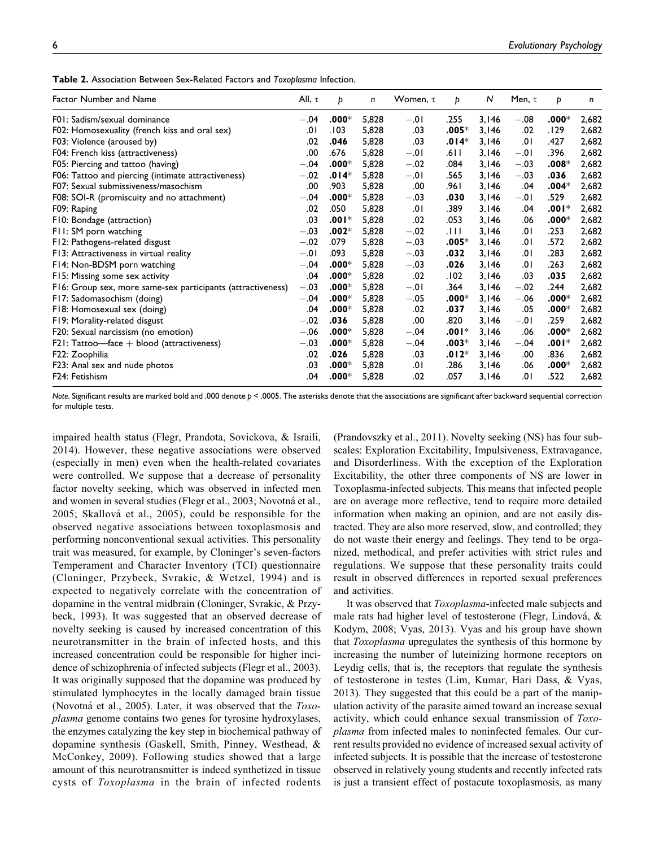| <b>Table 2.</b> Association Between Sex-Related Factors and Toxoblasma Infection. |  |
|-----------------------------------------------------------------------------------|--|
|-----------------------------------------------------------------------------------|--|

| Factor Number and Name                                      | All, $\tau$ | Þ       | n     | Women, $\tau$ | Þ       | N     | Men, $\tau$ | Þ       | n     |
|-------------------------------------------------------------|-------------|---------|-------|---------------|---------|-------|-------------|---------|-------|
| F01: Sadism/sexual dominance                                | $-.04$      | $.000*$ | 5,828 | $-.01$        | .255    | 3,146 | $-.08$      | $.000*$ | 2,682 |
| F02: Homosexuality (french kiss and oral sex)               | 0١.         | .103    | 5,828 | .03           | $.005*$ | 3,146 | .02         | .129    | 2,682 |
| F03: Violence (aroused by)                                  | .02         | .046    | 5,828 | .03           | $.014*$ | 3,146 | .01         | .427    | 2,682 |
| F04: French kiss (attractiveness)                           | .00         | .676    | 5,828 | $-.01$        | ا 61.   | 3,146 | $-.01$      | .396    | 2,682 |
| F05: Piercing and tattoo (having)                           | $-.04$      | $.000*$ | 5,828 | $-.02$        | .084    | 3,146 | $-.03$      | $.008*$ | 2,682 |
| F06: Tattoo and piercing (intimate attractiveness)          | $-.02$      | $.014*$ | 5,828 | $-.01$        | .565    | 3,146 | $-.03$      | .036    | 2,682 |
| F07: Sexual submissiveness/masochism                        | .00         | .903    | 5,828 | .00           | .961    | 3,146 | .04         | $.004*$ | 2,682 |
| F08: SOI-R (promiscuity and no attachment)                  | $-.04$      | $.000*$ | 5,828 | $-.03$        | .030    | 3,146 | $-.01$      | .529    | 2,682 |
| F09: Raping                                                 | .02         | .050    | 5,828 | .01           | .389    | 3,146 | .04         | $.001*$ | 2,682 |
| F10: Bondage (attraction)                                   | .03         | $.001*$ | 5,828 | .02           | .053    | 3,146 | .06         | $.000*$ | 2,682 |
| F11: SM porn watching                                       | $-.03$      | $.002*$ | 5,828 | $-.02$        | .HI     | 3,146 | .01         | .253    | 2,682 |
| F12: Pathogens-related disgust                              | $-.02$      | .079    | 5,828 | $-.03$        | $.005*$ | 3,146 | .01         | .572    | 2,682 |
| F13: Attractiveness in virtual reality                      | $-.01$      | .093    | 5,828 | $-.03$        | .032    | 3,146 | .01         | .283    | 2,682 |
| F14: Non-BDSM porn watching                                 | $-.04$      | $.000*$ | 5,828 | $-.03$        | .026    | 3,146 | .01         | .263    | 2,682 |
| F15: Missing some sex activity                              | .04         | $.000*$ | 5,828 | .02           | .102    | 3,146 | .03         | .035    | 2,682 |
| F16: Group sex, more same-sex participants (attractiveness) | $-.03$      | $.000*$ | 5,828 | $-.01$        | .364    | 3,146 | $-.02$      | .244    | 2,682 |
| F17: Sadomasochism (doing)                                  | $-.04$      | $.000*$ | 5,828 | $-.05$        | $.000*$ | 3,146 | $-.06$      | $.000*$ | 2,682 |
| F18: Homosexual sex (doing)                                 | .04         | $.000*$ | 5,828 | .02           | .037    | 3,146 | .05         | $.000*$ | 2,682 |
| F19: Morality-related disgust                               | $-.02$      | .036    | 5,828 | .00           | .820    | 3,146 | $-.01$      | .259    | 2,682 |
| F20: Sexual narcissism (no emotion)                         | $-.06$      | $.000*$ | 5,828 | $-.04$        | $.001*$ | 3,146 | .06         | $.000*$ | 2,682 |
| $F21: Tattoo$ —face $+$ blood (attractiveness)              | $-.03$      | $.000*$ | 5,828 | $-.04$        | $.003*$ | 3,146 | $-.04$      | $.001*$ | 2,682 |
| F22: Zoophilia                                              | .02         | .026    | 5,828 | .03           | $.012*$ | 3,146 | .00         | .836    | 2,682 |
| F23: Anal sex and nude photos                               | .03         | $.000*$ | 5,828 | .01           | .286    | 3,146 | .06         | $.000*$ | 2,682 |
| F24: Fetishism                                              | .04         | $.000*$ | 5,828 | .02           | .057    | 3,146 | .01         | .522    | 2,682 |

Note. Significant results are marked bold and .000 denote p < .0005. The asterisks denote that the associations are significant after backward sequential correction for multiple tests.

impaired health status (Flegr, Prandota, Sovickova, & Israili, 2014). However, these negative associations were observed (especially in men) even when the health-related covariates were controlled. We suppose that a decrease of personality factor novelty seeking, which was observed in infected men and women in several studies (Flegr et al., 2003; Novotná et al., 2005; Skallová et al., 2005), could be responsible for the observed negative associations between toxoplasmosis and performing nonconventional sexual activities. This personality trait was measured, for example, by Cloninger's seven-factors Temperament and Character Inventory (TCI) questionnaire (Cloninger, Przybeck, Svrakic, & Wetzel, 1994) and is expected to negatively correlate with the concentration of dopamine in the ventral midbrain (Cloninger, Svrakic, & Przybeck, 1993). It was suggested that an observed decrease of novelty seeking is caused by increased concentration of this neurotransmitter in the brain of infected hosts, and this increased concentration could be responsible for higher incidence of schizophrenia of infected subjects (Flegr et al., 2003). It was originally supposed that the dopamine was produced by stimulated lymphocytes in the locally damaged brain tissue (Novotná et al., 2005). Later, it was observed that the  $Toxo$ plasma genome contains two genes for tyrosine hydroxylases, the enzymes catalyzing the key step in biochemical pathway of dopamine synthesis (Gaskell, Smith, Pinney, Westhead, & McConkey, 2009). Following studies showed that a large amount of this neurotransmitter is indeed synthetized in tissue cysts of Toxoplasma in the brain of infected rodents (Prandovszky et al., 2011). Novelty seeking (NS) has four subscales: Exploration Excitability, Impulsiveness, Extravagance, and Disorderliness. With the exception of the Exploration Excitability, the other three components of NS are lower in Toxoplasma-infected subjects. This means that infected people are on average more reflective, tend to require more detailed information when making an opinion, and are not easily distracted. They are also more reserved, slow, and controlled; they do not waste their energy and feelings. They tend to be organized, methodical, and prefer activities with strict rules and regulations. We suppose that these personality traits could result in observed differences in reported sexual preferences and activities.

It was observed that *Toxoplasma*-infected male subjects and male rats had higher level of testosterone (Flegr, Lindová,  $\&$ Kodym, 2008; Vyas, 2013). Vyas and his group have shown that Toxoplasma upregulates the synthesis of this hormone by increasing the number of luteinizing hormone receptors on Leydig cells, that is, the receptors that regulate the synthesis of testosterone in testes (Lim, Kumar, Hari Dass, & Vyas, 2013). They suggested that this could be a part of the manipulation activity of the parasite aimed toward an increase sexual activity, which could enhance sexual transmission of Toxoplasma from infected males to noninfected females. Our current results provided no evidence of increased sexual activity of infected subjects. It is possible that the increase of testosterone observed in relatively young students and recently infected rats is just a transient effect of postacute toxoplasmosis, as many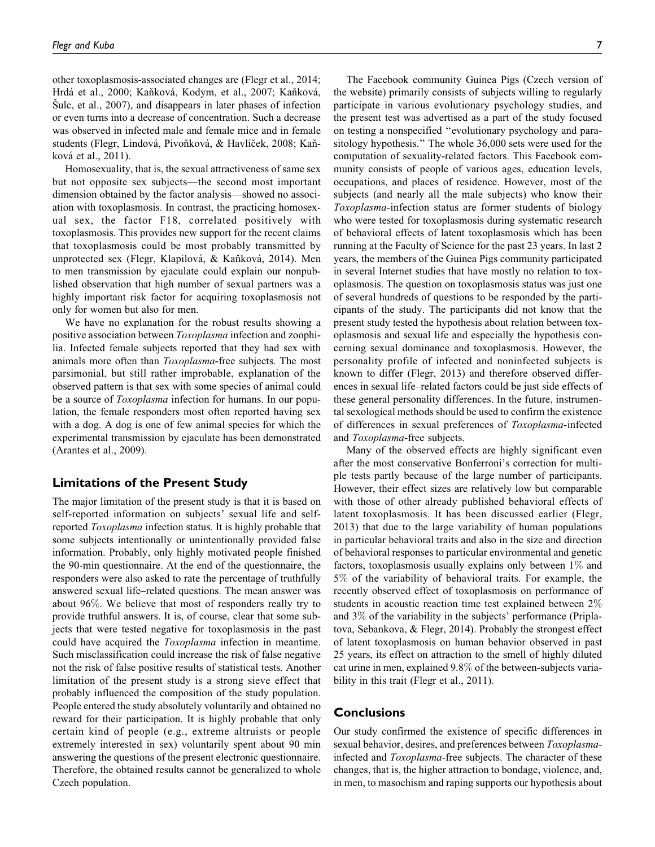other toxoplasmosis-associated changes are (Flegr et al., 2014; Hrdá et al., 2000; Kaňková, Kodym, et al., 2007; Kaňková,  $\text{Sulc, et al., } 2007$ , and disappears in later phases of infection or even turns into a decrease of concentration. Such a decrease was observed in infected male and female mice and in female students (Flegr, Lindová, Pivoňková, & Havlíček, 2008; Kaňková et al., 2011).

Homosexuality, that is, the sexual attractiveness of same sex but not opposite sex subjects—the second most important dimension obtained by the factor analysis—showed no association with toxoplasmosis. In contrast, the practicing homosexual sex, the factor F18, correlated positively with toxoplasmosis. This provides new support for the recent claims that toxoplasmosis could be most probably transmitted by unprotected sex (Flegr, Klapilová, & Kaňková, 2014). Men to men transmission by ejaculate could explain our nonpublished observation that high number of sexual partners was a highly important risk factor for acquiring toxoplasmosis not only for women but also for men.

We have no explanation for the robust results showing a positive association between *Toxoplasma* infection and zoophilia. Infected female subjects reported that they had sex with animals more often than Toxoplasma-free subjects. The most parsimonial, but still rather improbable, explanation of the observed pattern is that sex with some species of animal could be a source of *Toxoplasma* infection for humans. In our population, the female responders most often reported having sex with a dog. A dog is one of few animal species for which the experimental transmission by ejaculate has been demonstrated (Arantes et al., 2009).

## Limitations of the Present Study

The major limitation of the present study is that it is based on self-reported information on subjects' sexual life and selfreported Toxoplasma infection status. It is highly probable that some subjects intentionally or unintentionally provided false information. Probably, only highly motivated people finished the 90-min questionnaire. At the end of the questionnaire, the responders were also asked to rate the percentage of truthfully answered sexual life–related questions. The mean answer was about 96%. We believe that most of responders really try to provide truthful answers. It is, of course, clear that some subjects that were tested negative for toxoplasmosis in the past could have acquired the Toxoplasma infection in meantime. Such misclassification could increase the risk of false negative not the risk of false positive results of statistical tests. Another limitation of the present study is a strong sieve effect that probably influenced the composition of the study population. People entered the study absolutely voluntarily and obtained no reward for their participation. It is highly probable that only certain kind of people (e.g., extreme altruists or people extremely interested in sex) voluntarily spent about 90 min answering the questions of the present electronic questionnaire. Therefore, the obtained results cannot be generalized to whole Czech population.

The Facebook community Guinea Pigs (Czech version of the website) primarily consists of subjects willing to regularly participate in various evolutionary psychology studies, and the present test was advertised as a part of the study focused on testing a nonspecified ''evolutionary psychology and parasitology hypothesis.'' The whole 36,000 sets were used for the computation of sexuality-related factors. This Facebook community consists of people of various ages, education levels, occupations, and places of residence. However, most of the subjects (and nearly all the male subjects) who know their Toxoplasma-infection status are former students of biology who were tested for toxoplasmosis during systematic research of behavioral effects of latent toxoplasmosis which has been running at the Faculty of Science for the past 23 years. In last 2 years, the members of the Guinea Pigs community participated in several Internet studies that have mostly no relation to toxoplasmosis. The question on toxoplasmosis status was just one of several hundreds of questions to be responded by the participants of the study. The participants did not know that the present study tested the hypothesis about relation between toxoplasmosis and sexual life and especially the hypothesis concerning sexual dominance and toxoplasmosis. However, the personality profile of infected and noninfected subjects is known to differ (Flegr, 2013) and therefore observed differences in sexual life–related factors could be just side effects of these general personality differences. In the future, instrumental sexological methods should be used to confirm the existence of differences in sexual preferences of Toxoplasma-infected and Toxoplasma-free subjects.

Many of the observed effects are highly significant even after the most conservative Bonferroni's correction for multiple tests partly because of the large number of participants. However, their effect sizes are relatively low but comparable with those of other already published behavioral effects of latent toxoplasmosis. It has been discussed earlier (Flegr, 2013) that due to the large variability of human populations in particular behavioral traits and also in the size and direction of behavioral responses to particular environmental and genetic factors, toxoplasmosis usually explains only between  $1\%$  and 5% of the variability of behavioral traits. For example, the recently observed effect of toxoplasmosis on performance of students in acoustic reaction time test explained between 2% and 3% of the variability in the subjects' performance (Priplatova, Sebankova, & Flegr, 2014). Probably the strongest effect of latent toxoplasmosis on human behavior observed in past 25 years, its effect on attraction to the smell of highly diluted cat urine in men, explained 9.8% of the between-subjects variability in this trait (Flegr et al., 2011).

## **Conclusions**

Our study confirmed the existence of specific differences in sexual behavior, desires, and preferences between Toxoplasmainfected and Toxoplasma-free subjects. The character of these changes, that is, the higher attraction to bondage, violence, and, in men, to masochism and raping supports our hypothesis about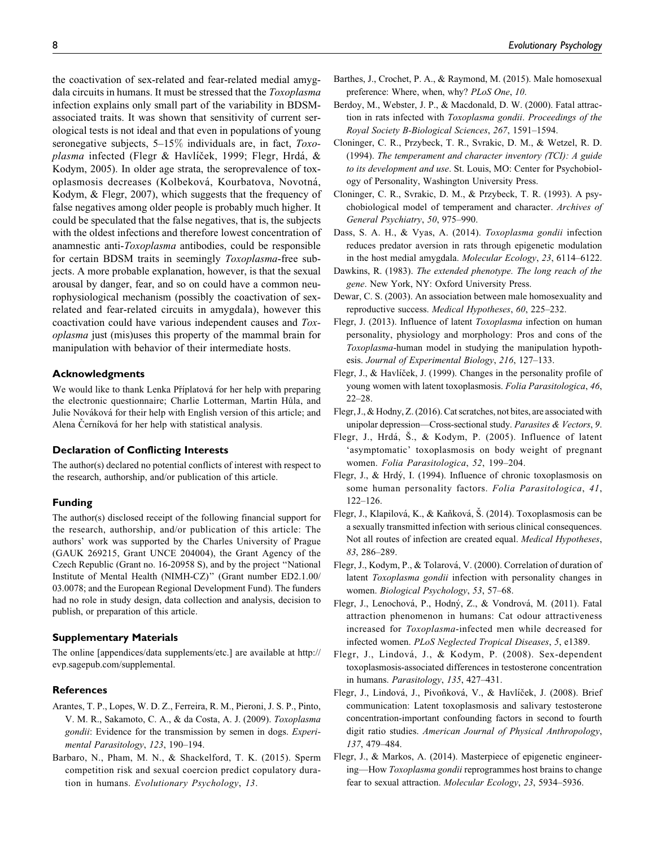the coactivation of sex-related and fear-related medial amygdala circuits in humans. It must be stressed that the Toxoplasma infection explains only small part of the variability in BDSMassociated traits. It was shown that sensitivity of current serological tests is not ideal and that even in populations of young seronegative subjects,  $5-15\%$  individuals are, in fact,  $Toxo$ plasma infected (Flegr & Havlíček, 1999; Flegr, Hrdá, & Kodym, 2005). In older age strata, the seroprevalence of toxoplasmosis decreases (Kolbeková, Kourbatova, Novotná, Kodym, & Flegr, 2007), which suggests that the frequency of false negatives among older people is probably much higher. It could be speculated that the false negatives, that is, the subjects with the oldest infections and therefore lowest concentration of anamnestic anti-Toxoplasma antibodies, could be responsible for certain BDSM traits in seemingly Toxoplasma-free subjects. A more probable explanation, however, is that the sexual arousal by danger, fear, and so on could have a common neurophysiological mechanism (possibly the coactivation of sexrelated and fear-related circuits in amygdala), however this coactivation could have various independent causes and Toxoplasma just (mis)uses this property of the mammal brain for manipulation with behavior of their intermediate hosts.

#### Acknowledgments

We would like to thank Lenka Příplatová for her help with preparing the electronic questionnaire; Charlie Lotterman, Martin Hůla, and Julie Nováková for their help with English version of this article; and Alena Černíková for her help with statistical analysis.

#### Declaration of Conflicting Interests

The author(s) declared no potential conflicts of interest with respect to the research, authorship, and/or publication of this article.

#### Funding

The author(s) disclosed receipt of the following financial support for the research, authorship, and/or publication of this article: The authors' work was supported by the Charles University of Prague (GAUK 269215, Grant UNCE 204004), the Grant Agency of the Czech Republic (Grant no. 16-20958 S), and by the project ''National Institute of Mental Health (NIMH-CZ)'' (Grant number ED2.1.00/ 03.0078; and the European Regional Development Fund). The funders had no role in study design, data collection and analysis, decision to publish, or preparation of this article.

#### Supplementary Materials

The online [appendices/data supplements/etc.] are available at [http://](http://evp.sagepub.com/supplemental) [evp.sagepub.com/supplemental.](http://evp.sagepub.com/supplemental)

#### References

- Arantes, T. P., Lopes, W. D. Z., Ferreira, R. M., Pieroni, J. S. P., Pinto, V. M. R., Sakamoto, C. A., & da Costa, A. J. (2009). Toxoplasma gondii: Evidence for the transmission by semen in dogs. Experimental Parasitology, 123, 190–194.
- Barbaro, N., Pham, M. N., & Shackelford, T. K. (2015). Sperm competition risk and sexual coercion predict copulatory duration in humans. Evolutionary Psychology, 13.
- Barthes, J., Crochet, P. A., & Raymond, M. (2015). Male homosexual preference: Where, when, why? PLoS One, 10.
- Berdoy, M., Webster, J. P., & Macdonald, D. W. (2000). Fatal attraction in rats infected with Toxoplasma gondii. Proceedings of the Royal Society B-Biological Sciences, 267, 1591–1594.
- Cloninger, C. R., Przybeck, T. R., Svrakic, D. M., & Wetzel, R. D. (1994). The temperament and character inventory (TCI): A guide to its development and use. St. Louis, MO: Center for Psychobiology of Personality, Washington University Press.
- Cloninger, C. R., Svrakic, D. M., & Przybeck, T. R. (1993). A psychobiological model of temperament and character. Archives of General Psychiatry, 50, 975–990.
- Dass, S. A. H., & Vyas, A. (2014). Toxoplasma gondii infection reduces predator aversion in rats through epigenetic modulation in the host medial amygdala. Molecular Ecology, 23, 6114–6122.
- Dawkins, R. (1983). The extended phenotype. The long reach of the gene. New York, NY: Oxford University Press.
- Dewar, C. S. (2003). An association between male homosexuality and reproductive success. Medical Hypotheses, 60, 225–232.
- Flegr, J. (2013). Influence of latent Toxoplasma infection on human personality, physiology and morphology: Pros and cons of the Toxoplasma-human model in studying the manipulation hypothesis. Journal of Experimental Biology, 216, 127–133.
- Flegr, J., & Havlíček, J. (1999). Changes in the personality profile of young women with latent toxoplasmosis. Folia Parasitologica, 46, 22–28.
- Flegr, J., & Hodny, Z. (2016). Cat scratches, not bites, are associated with unipolar depression—Cross-sectional study. Parasites & Vectors, 9.
- Flegr, J., Hrdá, Š., & Kodym, P. (2005). Influence of latent 'asymptomatic' toxoplasmosis on body weight of pregnant women. Folia Parasitologica, 52, 199–204.
- Flegr, J., & Hrdý, I. (1994). Influence of chronic toxoplasmosis on some human personality factors. Folia Parasitologica, 41, 122–126.
- Flegr, J., Klapilová, K., & Kaňková, Š. (2014). Toxoplasmosis can be a sexually transmitted infection with serious clinical consequences. Not all routes of infection are created equal. Medical Hypotheses, 83, 286–289.
- Flegr, J., Kodym, P., & Tolarová, V. (2000). Correlation of duration of latent Toxoplasma gondii infection with personality changes in women. Biological Psychology, 53, 57–68.
- Flegr, J., Lenochová, P., Hodný, Z., & Vondrová, M. (2011). Fatal attraction phenomenon in humans: Cat odour attractiveness increased for Toxoplasma-infected men while decreased for infected women. PLoS Neglected Tropical Diseases, 5, e1389.
- Flegr, J., Lindová, J., & Kodym, P. (2008). Sex-dependent toxoplasmosis-associated differences in testosterone concentration in humans. Parasitology, 135, 427–431.
- Flegr, J., Lindová, J., Pivoňková, V., & Havlíček, J. (2008). Brief communication: Latent toxoplasmosis and salivary testosterone concentration-important confounding factors in second to fourth digit ratio studies. American Journal of Physical Anthropology, 137, 479–484.
- Flegr, J., & Markos, A. (2014). Masterpiece of epigenetic engineering—How Toxoplasma gondii reprogrammes host brains to change fear to sexual attraction. Molecular Ecology, 23, 5934–5936.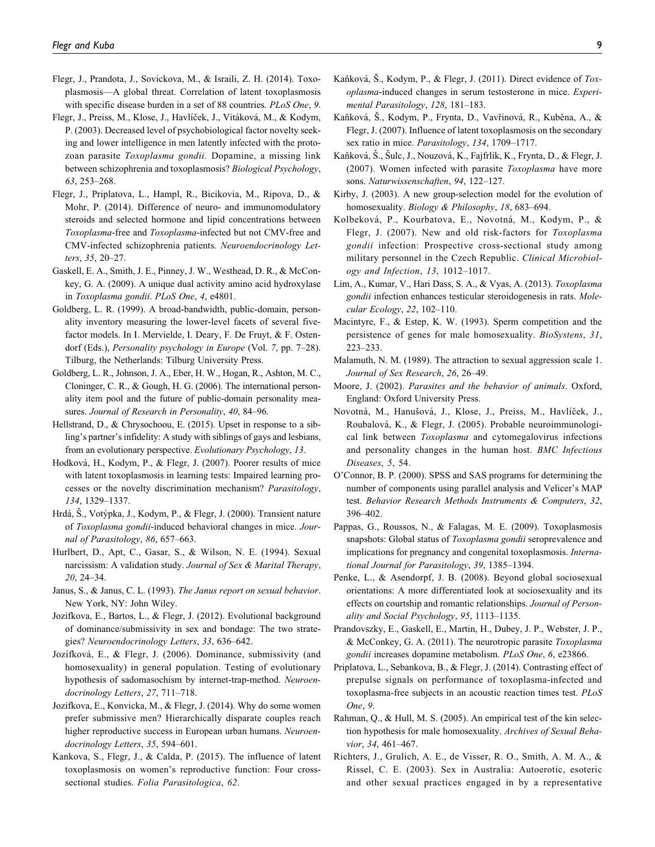- Flegr, J., Prandota, J., Sovickova, M., & Israili, Z. H. (2014). Toxoplasmosis—A global threat. Correlation of latent toxoplasmosis with specific disease burden in a set of 88 countries. PLoS One, 9.
- Flegr, J., Preiss, M., Klose, J., Havlíček, J., Vitáková, M., & Kodym, P. (2003). Decreased level of psychobiological factor novelty seeking and lower intelligence in men latently infected with the protozoan parasite Toxoplasma gondii. Dopamine, a missing link between schizophrenia and toxoplasmosis? Biological Psychology, 63, 253–268.
- Flegr, J., Priplatova, L., Hampl, R., Bicikovia, M., Ripova, D., & Mohr, P. (2014). Difference of neuro- and immunomodulatory steroids and selected hormone and lipid concentrations between Toxoplasma-free and Toxoplasma-infected but not CMV-free and CMV-infected schizophrenia patients. Neuroendocrinology Letters, 35, 20–27.
- Gaskell, E. A., Smith, J. E., Pinney, J. W., Westhead, D. R., & McConkey, G. A. (2009). A unique dual activity amino acid hydroxylase in Toxoplasma gondii. PLoS One, 4, e4801.
- Goldberg, L. R. (1999). A broad-bandwidth, public-domain, personality inventory measuring the lower-level facets of several fivefactor models. In I. Mervielde, I. Deary, F. De Fruyt, & F. Ostendorf (Eds.), *Personality psychology in Europe* (Vol. 7, pp. 7–28). Tilburg, the Netherlands: Tilburg University Press.
- Goldberg, L. R., Johnson, J. A., Eber, H. W., Hogan, R., Ashton, M. C., Cloninger, C. R., & Gough, H. G. (2006). The international personality item pool and the future of public-domain personality measures. Journal of Research in Personality, 40, 84-96.
- Hellstrand, D., & Chrysochoou, E. (2015). Upset in response to a sibling's partner's infidelity: A study with siblings of gays and lesbians, from an evolutionary perspective. Evolutionary Psychology, 13.
- Hodková, H., Kodym, P., & Flegr, J. (2007). Poorer results of mice with latent toxoplasmosis in learning tests: Impaired learning processes or the novelty discrimination mechanism? Parasitology, 134, 1329–1337.
- Hrdá, S., Votýpka, J., Kodym, P., & Flegr, J. (2000). Transient nature of Toxoplasma gondii-induced behavioral changes in mice. Journal of Parasitology, 86, 657–663.
- Hurlbert, D., Apt, C., Gasar, S., & Wilson, N. E. (1994). Sexual narcissism: A validation study. Journal of Sex & Marital Therapy, 20, 24–34.
- Janus, S., & Janus, C. L. (1993). The Janus report on sexual behavior. New York, NY: John Wiley.
- Jozifkova, E., Bartos, L., & Flegr, J. (2012). Evolutional background of dominance/submissivity in sex and bondage: The two strategies? Neuroendocrinology Letters, 33, 636–642.
- Jozífková, E., & Flegr, J. (2006). Dominance, submissivity (and homosexuality) in general population. Testing of evolutionary hypothesis of sadomasochism by internet-trap-method. Neuroendocrinology Letters, 27, 711–718.
- Jozifkova, E., Konvicka, M., & Flegr, J. (2014). Why do some women prefer submissive men? Hierarchically disparate couples reach higher reproductive success in European urban humans. Neuroendocrinology Letters, 35, 594–601.
- Kankova, S., Flegr, J., & Calda, P. (2015). The influence of latent toxoplasmosis on women's reproductive function: Four crosssectional studies. Folia Parasitologica, 62.
- Kaňková, Š., Kodym, P., & Flegr, J. (2011). Direct evidence of  $Tox$ oplasma-induced changes in serum testosterone in mice. Experimental Parasitology, 128, 181–183.
- Kaňková, Š., Kodym, P., Frynta, D., Vavřinová, R., Kuběna, A., & Flegr, J. (2007). Influence of latent toxoplasmosis on the secondary sex ratio in mice. *Parasitology*, 134, 1709–1717.
- Kaňková, Š., Šulc, J., Nouzová, K., Fajfrlik, K., Frynta, D., & Flegr, J. (2007). Women infected with parasite Toxoplasma have more sons. Naturwissenschaften, 94, 122–127.
- Kirby, J. (2003). A new group-selection model for the evolution of homosexuality. Biology & Philosophy, 18, 683–694.
- Kolbeková, P., Kourbatova, E., Novotná, M., Kodym, P., & Flegr, J. (2007). New and old risk-factors for Toxoplasma gondii infection: Prospective cross-sectional study among military personnel in the Czech Republic. Clinical Microbiology and Infection, 13, 1012–1017.
- Lim, A., Kumar, V., Hari Dass, S. A., & Vyas, A. (2013). Toxoplasma gondii infection enhances testicular steroidogenesis in rats. Molecular Ecology, 22, 102–110.
- Macintyre, F., & Estep, K. W. (1993). Sperm competition and the persistence of genes for male homosexuality. BioSystens, 31, 223–233.
- Malamuth, N. M. (1989). The attraction to sexual aggression scale 1. Journal of Sex Research, 26, 26–49.
- Moore, J. (2002). Parasites and the behavior of animals. Oxford, England: Oxford University Press.
- Novotná, M., Hanušová, J., Klose, J., Preiss, M., Havlíček, J., Roubalova´, K., & Flegr, J. (2005). Probable neuroimmunological link between Toxoplasma and cytomegalovirus infections and personality changes in the human host. BMC Infectious Diseases, 5, 54.
- O'Connor, B. P. (2000). SPSS and SAS programs for determining the number of components using parallel analysis and Velicer's MAP test. Behavior Research Methods Instruments & Computers, 32, 396–402.
- Pappas, G., Roussos, N., & Falagas, M. E. (2009). Toxoplasmosis snapshots: Global status of *Toxoplasma gondii* seroprevalence and implications for pregnancy and congenital toxoplasmosis. International Journal for Parasitology, 39, 1385–1394.
- Penke, L., & Asendorpf, J. B. (2008). Beyond global sociosexual orientations: A more differentiated look at sociosexuality and its effects on courtship and romantic relationships. Journal of Personality and Social Psychology, 95, 1113–1135.
- Prandovszky, E., Gaskell, E., Martin, H., Dubey, J. P., Webster, J. P., & McConkey, G. A. (2011). The neurotropic parasite Toxoplasma gondii increases dopamine metabolism. PLoS One, 6, e23866.
- Priplatova, L., Sebankova, B., & Flegr, J. (2014). Contrasting effect of prepulse signals on performance of toxoplasma-infected and toxoplasma-free subjects in an acoustic reaction times test. PLoS One, 9.
- Rahman, Q., & Hull, M. S. (2005). An empirical test of the kin selection hypothesis for male homosexuality. Archives of Sexual Behavior, 34, 461–467.
- Richters, J., Grulich, A. E., de Visser, R. O., Smith, A. M. A., & Rissel, C. E. (2003). Sex in Australia: Autoerotic, esoteric and other sexual practices engaged in by a representative